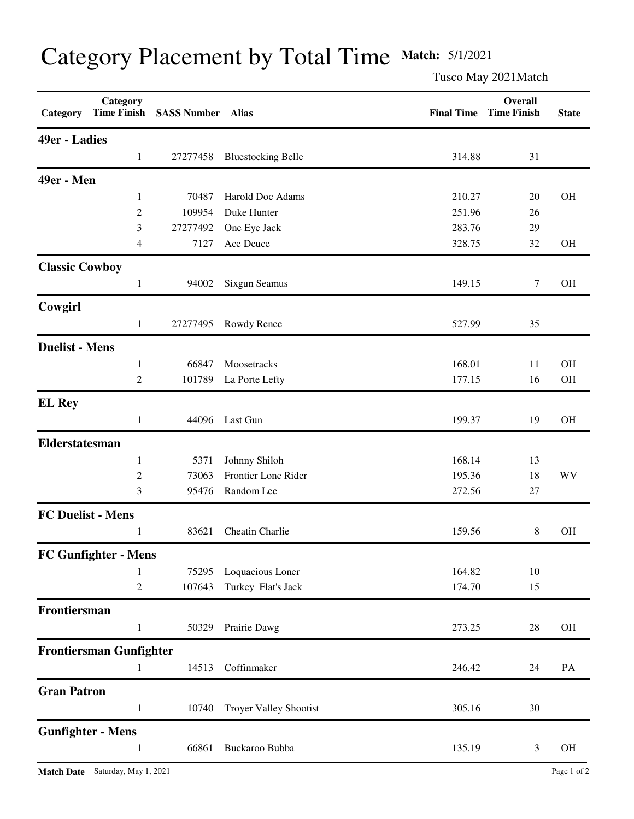| Category                 | Category<br><b>Time Finish</b> | <b>SASS Number Alias</b> |                               | <b>Final Time</b> | Overall<br><b>Time Finish</b> | <b>State</b> |
|--------------------------|--------------------------------|--------------------------|-------------------------------|-------------------|-------------------------------|--------------|
| 49er - Ladies            |                                |                          |                               |                   |                               |              |
|                          | $\mathbf{1}$                   | 27277458                 | <b>Bluestocking Belle</b>     | 314.88            | 31                            |              |
| 49er - Men               |                                |                          |                               |                   |                               |              |
|                          | 1                              | 70487                    | Harold Doc Adams              | 210.27            | 20                            | <b>OH</b>    |
|                          | 2                              | 109954                   | Duke Hunter                   | 251.96            | 26                            |              |
|                          | 3                              | 27277492                 | One Eye Jack                  | 283.76            | 29                            |              |
|                          | 4                              | 7127                     | Ace Deuce                     | 328.75            | 32                            | OH           |
| <b>Classic Cowboy</b>    |                                |                          |                               |                   |                               |              |
|                          | $\mathbf{1}$                   | 94002                    | Sixgun Seamus                 | 149.15            | 7                             | <b>OH</b>    |
| Cowgirl                  |                                |                          |                               |                   |                               |              |
|                          | $\mathbf{1}$                   | 27277495                 | Rowdy Renee                   | 527.99            | 35                            |              |
| <b>Duelist - Mens</b>    |                                |                          |                               |                   |                               |              |
|                          | 1                              | 66847                    | Moosetracks                   | 168.01            | 11                            | <b>OH</b>    |
|                          | $\overline{2}$                 | 101789                   | La Porte Lefty                | 177.15            | 16                            | OH           |
| <b>EL Rey</b>            |                                |                          |                               |                   |                               |              |
|                          | 1                              | 44096                    | Last Gun                      | 199.37            | 19                            | <b>OH</b>    |
| <b>Elderstatesman</b>    |                                |                          |                               |                   |                               |              |
|                          | 1                              | 5371                     | Johnny Shiloh                 | 168.14            | 13                            |              |
|                          | 2                              | 73063                    | Frontier Lone Rider           | 195.36            | 18                            | WV           |
|                          | 3                              | 95476                    | Random Lee                    | 272.56            | 27                            |              |
| <b>FC Duelist - Mens</b> |                                |                          |                               |                   |                               |              |
|                          | 1                              | 83621                    | Cheatin Charlie               | 159.56            | 8                             | <b>OH</b>    |
|                          | <b>FC Gunfighter - Mens</b>    |                          |                               |                   |                               |              |
|                          | 1                              | 75295                    | Loquacious Loner              | 164.82            | 10                            |              |
|                          | $\overline{c}$                 | 107643                   | Turkey Flat's Jack            | 174.70            | 15                            |              |
| Frontiersman             |                                |                          |                               |                   |                               |              |
|                          | $\mathbf{1}$                   | 50329                    | Prairie Dawg                  | 273.25            | 28                            | <b>OH</b>    |
|                          | <b>Frontiersman Gunfighter</b> |                          |                               |                   |                               |              |
|                          | 1                              | 14513                    | Coffinmaker                   | 246.42            | 24                            | PA           |
| <b>Gran Patron</b>       |                                |                          |                               |                   |                               |              |
|                          | $\mathbf{1}$                   | 10740                    | <b>Troyer Valley Shootist</b> | 305.16            | 30                            |              |
|                          | <b>Gunfighter - Mens</b>       |                          |                               |                   |                               |              |
|                          | $\mathbf{1}$                   | 66861                    | Buckaroo Bubba                | 135.19            | 3                             | <b>OH</b>    |

## Category Placement by Total Time **Match:** 5/1/2021

Tusco May 2021Match